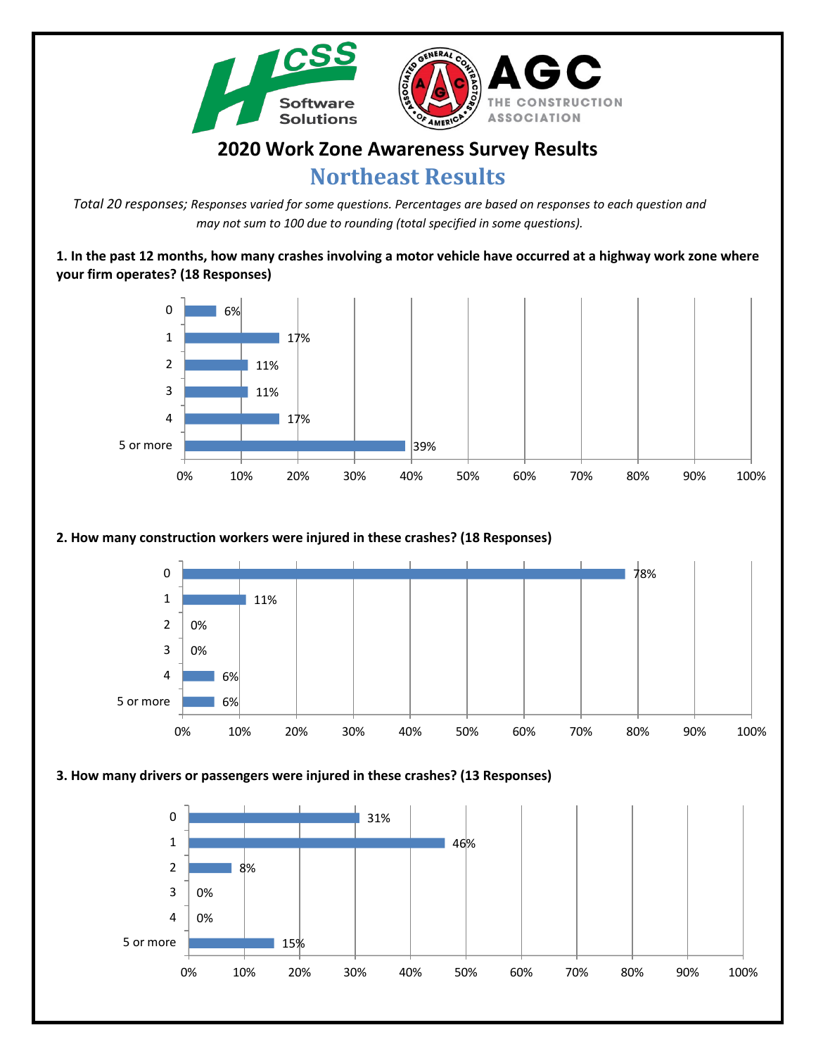

# **2020 Work Zone Awareness Survey Results**

# **Northeast Results**

*Total 20 responses; Responses varied for some questions. Percentages are based on responses to each question and may not sum to 100 due to rounding (total specified in some questions).*

**1. In the past 12 months, how many crashes involving a motor vehicle have occurred at a highway work zone where your firm operates? (18 Responses)**



## **2. How many construction workers were injured in these crashes? (18 Responses)**



#### **3. How many drivers or passengers were injured in these crashes? (13 Responses)**

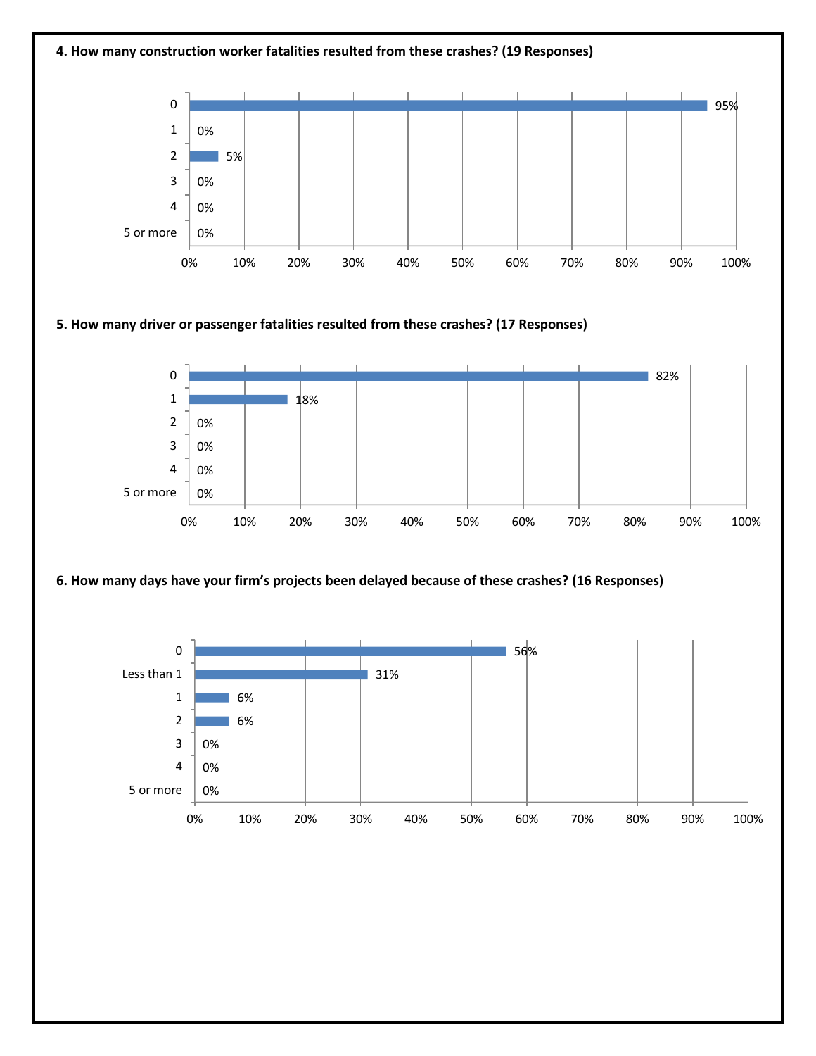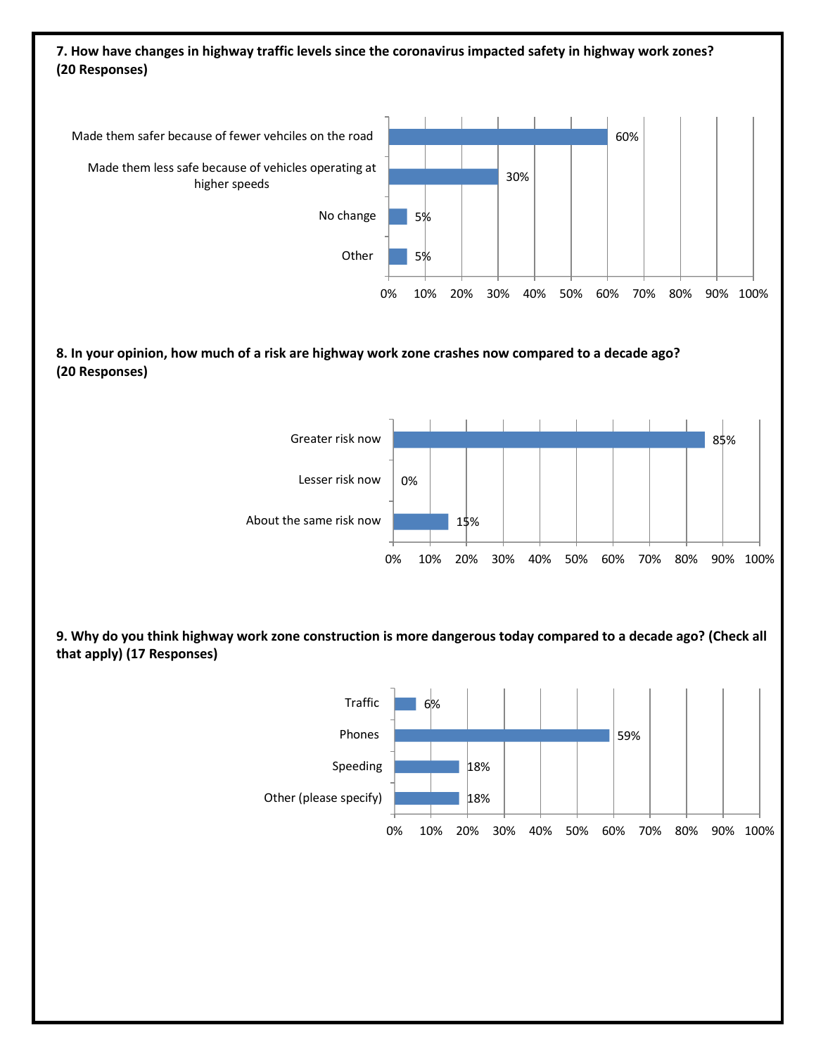### **7. How have changes in highway traffic levels since the coronavirus impacted safety in highway work zones? (20 Responses)**



#### **8. In your opinion, how much of a risk are highway work zone crashes now compared to a decade ago? (20 Responses)**



**9. Why do you think highway work zone construction is more dangerous today compared to a decade ago? (Check all that apply) (17 Responses)**

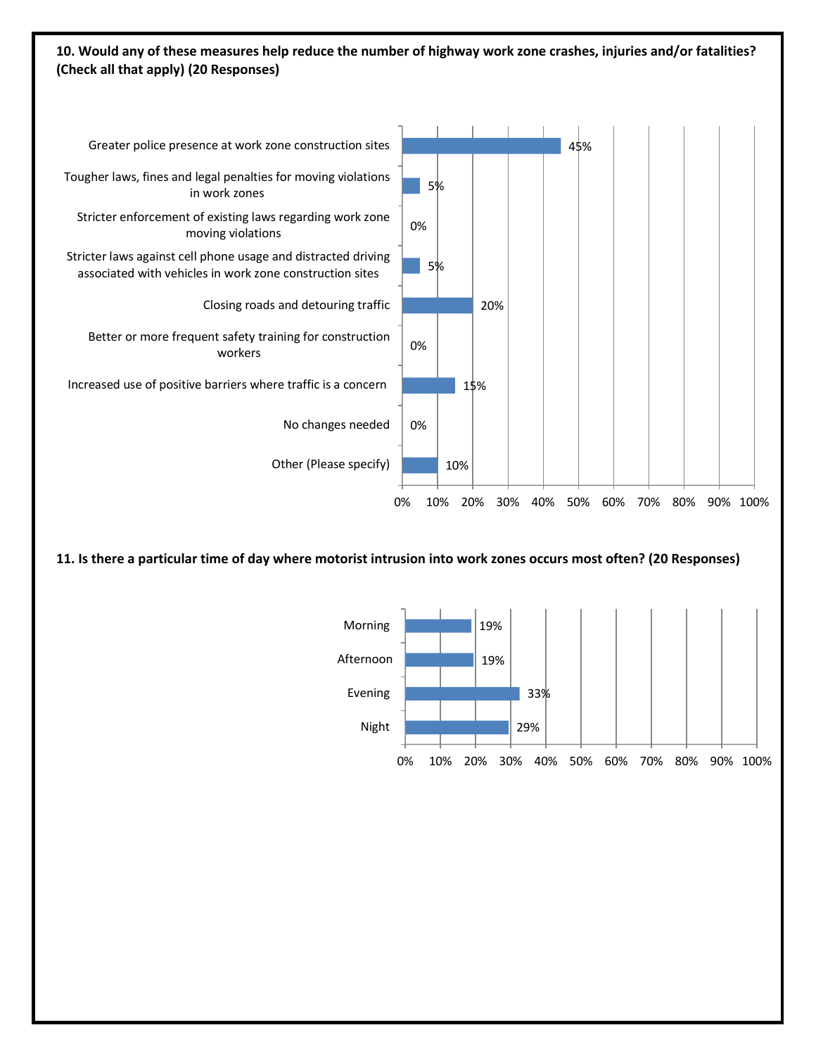#### **10. Would any of these measures help reduce the number of highway work zone crashes, injuries and/or fatalities? (Check all that apply) (20 Responses)**



**11. Is there a particular time of day where motorist intrusion into work zones occurs most often? (20 Responses)**